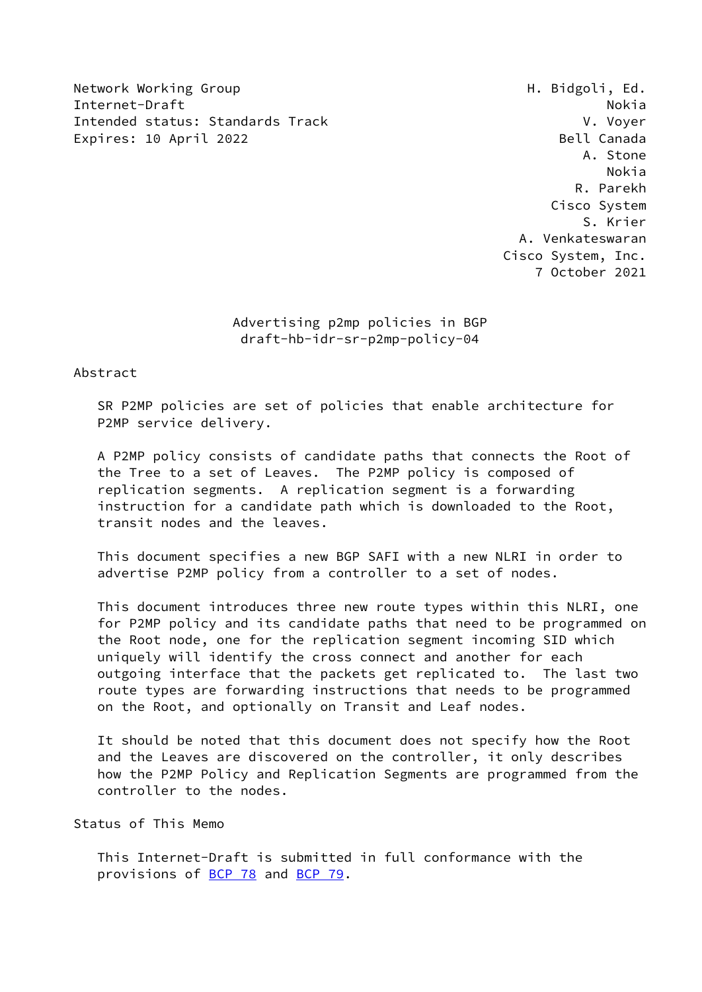Network Working Group Network Alexander Music H. Bidgoli, Ed. Internet-Draft Nokia and Nokia and Nokia and Nokia and Nokia and Nokia and Nokia and Nokia and Nokia and Nokia Intended status: Standards Track V. Voyer Expires: 10 April 2022 Bell Canada

 A. Stone Nokia R. Parekh Cisco System S. Krier A. Venkateswaran Cisco System, Inc. 7 October 2021

> Advertising p2mp policies in BGP draft-hb-idr-sr-p2mp-policy-04

Abstract

 SR P2MP policies are set of policies that enable architecture for P2MP service delivery.

 A P2MP policy consists of candidate paths that connects the Root of the Tree to a set of Leaves. The P2MP policy is composed of replication segments. A replication segment is a forwarding instruction for a candidate path which is downloaded to the Root, transit nodes and the leaves.

 This document specifies a new BGP SAFI with a new NLRI in order to advertise P2MP policy from a controller to a set of nodes.

 This document introduces three new route types within this NLRI, one for P2MP policy and its candidate paths that need to be programmed on the Root node, one for the replication segment incoming SID which uniquely will identify the cross connect and another for each outgoing interface that the packets get replicated to. The last two route types are forwarding instructions that needs to be programmed on the Root, and optionally on Transit and Leaf nodes.

 It should be noted that this document does not specify how the Root and the Leaves are discovered on the controller, it only describes how the P2MP Policy and Replication Segments are programmed from the controller to the nodes.

Status of This Memo

 This Internet-Draft is submitted in full conformance with the provisions of [BCP 78](https://datatracker.ietf.org/doc/pdf/bcp78) and [BCP 79](https://datatracker.ietf.org/doc/pdf/bcp79).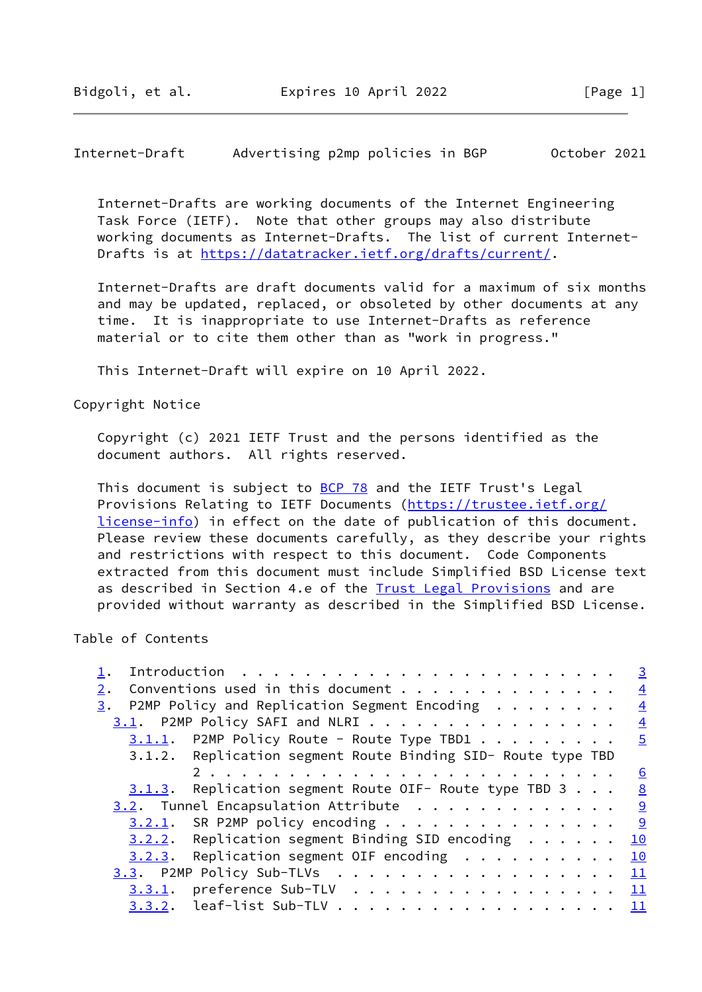Internet-Draft Advertising p2mp policies in BGP October 2021

 Internet-Drafts are working documents of the Internet Engineering Task Force (IETF). Note that other groups may also distribute working documents as Internet-Drafts. The list of current Internet- Drafts is at<https://datatracker.ietf.org/drafts/current/>.

 Internet-Drafts are draft documents valid for a maximum of six months and may be updated, replaced, or obsoleted by other documents at any time. It is inappropriate to use Internet-Drafts as reference material or to cite them other than as "work in progress."

This Internet-Draft will expire on 10 April 2022.

Copyright Notice

 Copyright (c) 2021 IETF Trust and the persons identified as the document authors. All rights reserved.

This document is subject to **[BCP 78](https://datatracker.ietf.org/doc/pdf/bcp78)** and the IETF Trust's Legal Provisions Relating to IETF Documents ([https://trustee.ietf.org/](https://trustee.ietf.org/license-info) [license-info](https://trustee.ietf.org/license-info)) in effect on the date of publication of this document. Please review these documents carefully, as they describe your rights and restrictions with respect to this document. Code Components extracted from this document must include Simplified BSD License text as described in Section 4.e of the **[Trust Legal Provisions](https://trustee.ietf.org/license-info)** and are provided without warranty as described in the Simplified BSD License.

#### Table of Contents

|                                                                    | $\overline{3}$ |
|--------------------------------------------------------------------|----------------|
| Conventions used in this document<br>2.                            | $\frac{4}{1}$  |
| P2MP Policy and Replication Segment Encoding $\ldots \ldots$<br>3. | $\frac{4}{3}$  |
| $3.1$ . P2MP Policy SAFI and NLRI 4                                |                |
| $3.1.1.$ P2MP Policy Route - Route Type TBD1 5                     |                |
| 3.1.2. Replication segment Route Binding SID- Route type TBD       |                |
|                                                                    | <u>6</u>       |
| $3.1.3$ . Replication segment Route OIF- Route type TBD 3 8        |                |
| $3.2$ . Tunnel Encapsulation Attribute 9                           |                |
| $3.2.1$ . SR P2MP policy encoding 9                                |                |
| $3.2.2.$ Replication segment Binding SID encoding 10               |                |
| $3.2.3$ . Replication segment OIF encoding 10                      |                |
| 3.3. P2MP Policy Sub-TLVs 11                                       |                |
| $3.3.1.$ preference Sub-TLV 11                                     |                |
| $3.3.2$ . leaf-list Sub-TLV 11                                     |                |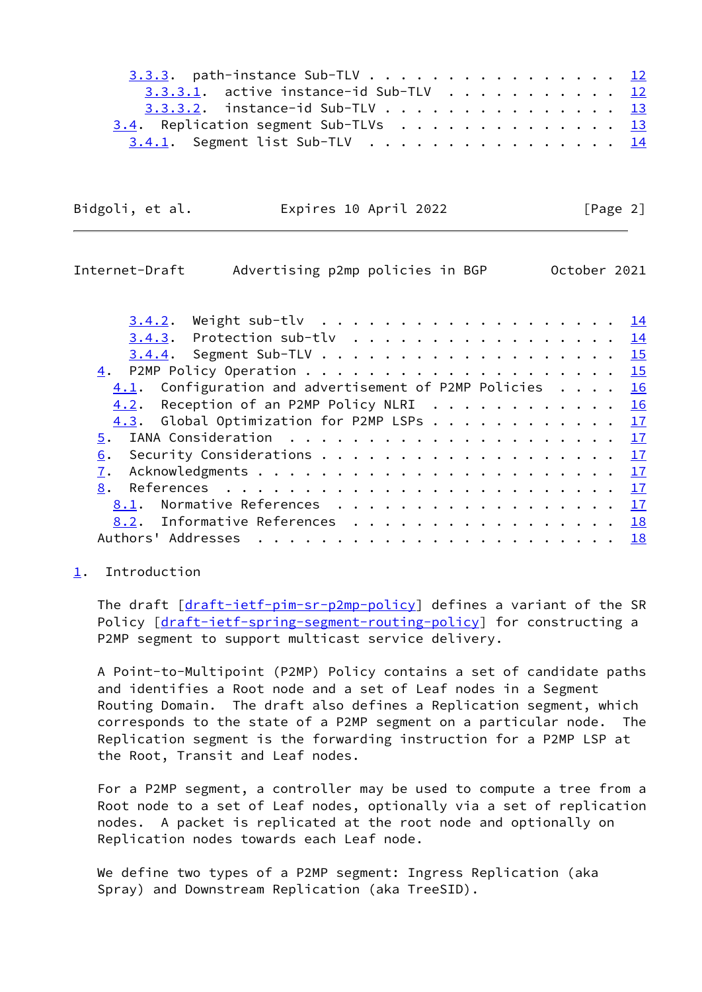| $3.3.3.$ path-instance Sub-TLV 12                                                                                                       |  |  |  |  |  |  |
|-----------------------------------------------------------------------------------------------------------------------------------------|--|--|--|--|--|--|
| 3.3.3.1. active instance-id Sub-TLV $\frac{12}{2}$                                                                                      |  |  |  |  |  |  |
| 3.3.3.2. instance-id Sub-TLV $\cdot \cdot \cdot \cdot \cdot \cdot \cdot \cdot \cdot \cdot \cdot \cdot \cdot \cdot \cdot \cdot \cdot 13$ |  |  |  |  |  |  |
| 3.4. Replication segment Sub-TLVs 13                                                                                                    |  |  |  |  |  |  |
| 3.4.1. Segment list Sub-TLV 14                                                                                                          |  |  |  |  |  |  |

| Bidgoli, et al. | Expires 10 April 2022 | [Page 2] |
|-----------------|-----------------------|----------|
|                 |                       |          |

<span id="page-2-1"></span>

| Internet-Draft | Advertising p2mp policies in BGP                         |  |  |  |  |  |  |  |  |  | October 2021 |
|----------------|----------------------------------------------------------|--|--|--|--|--|--|--|--|--|--------------|
| 3.4.2.         |                                                          |  |  |  |  |  |  |  |  |  |              |
|                | $3.4.3$ . Protection sub-tlv 14                          |  |  |  |  |  |  |  |  |  |              |
|                | <u>3.4.4</u> . Segment Sub-TLV 1 <u>5</u>                |  |  |  |  |  |  |  |  |  |              |
|                |                                                          |  |  |  |  |  |  |  |  |  |              |
|                | $4.1$ . Configuration and advertisement of P2MP Policies |  |  |  |  |  |  |  |  |  | 16           |
| 4.2.           | Reception of an P2MP Policy NLRI 16                      |  |  |  |  |  |  |  |  |  |              |
|                | 4.3. Global Optimization for P2MP LSPs 17                |  |  |  |  |  |  |  |  |  |              |
| 5.             |                                                          |  |  |  |  |  |  |  |  |  |              |
| 6.             |                                                          |  |  |  |  |  |  |  |  |  |              |
| 7.             |                                                          |  |  |  |  |  |  |  |  |  |              |
| 8.             |                                                          |  |  |  |  |  |  |  |  |  |              |
|                | 8.1. Normative References 17                             |  |  |  |  |  |  |  |  |  |              |
|                | 8.2. Informative References 18                           |  |  |  |  |  |  |  |  |  |              |
|                |                                                          |  |  |  |  |  |  |  |  |  |              |

#### <span id="page-2-0"></span>[1](#page-2-0). Introduction

 The draft [[draft-ietf-pim-sr-p2mp-policy\]](https://datatracker.ietf.org/doc/pdf/draft-ietf-pim-sr-p2mp-policy) defines a variant of the SR Policy [\[draft-ietf-spring-segment-routing-policy](https://datatracker.ietf.org/doc/pdf/draft-ietf-spring-segment-routing-policy)] for constructing a P2MP segment to support multicast service delivery.

 A Point-to-Multipoint (P2MP) Policy contains a set of candidate paths and identifies a Root node and a set of Leaf nodes in a Segment Routing Domain. The draft also defines a Replication segment, which corresponds to the state of a P2MP segment on a particular node. The Replication segment is the forwarding instruction for a P2MP LSP at the Root, Transit and Leaf nodes.

 For a P2MP segment, a controller may be used to compute a tree from a Root node to a set of Leaf nodes, optionally via a set of replication nodes. A packet is replicated at the root node and optionally on Replication nodes towards each Leaf node.

 We define two types of a P2MP segment: Ingress Replication (aka Spray) and Downstream Replication (aka TreeSID).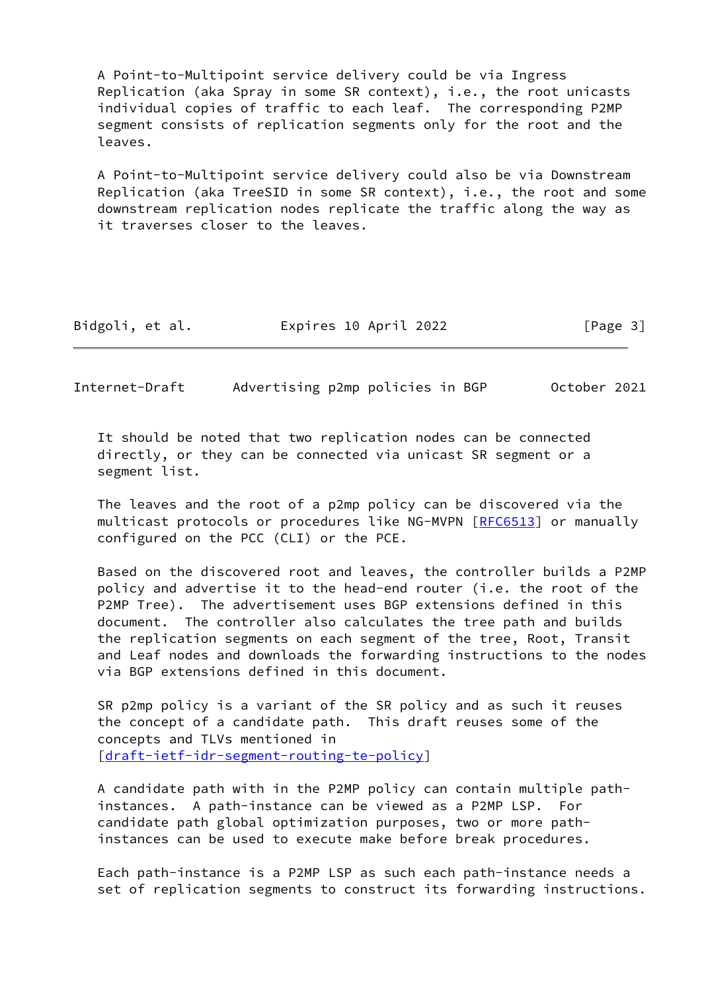A Point-to-Multipoint service delivery could be via Ingress Replication (aka Spray in some SR context), i.e., the root unicasts individual copies of traffic to each leaf. The corresponding P2MP segment consists of replication segments only for the root and the leaves.

 A Point-to-Multipoint service delivery could also be via Downstream Replication (aka TreeSID in some SR context), i.e., the root and some downstream replication nodes replicate the traffic along the way as it traverses closer to the leaves.

| Bidgoli, et al. | Expires 10 April 2022 | [Page 3] |
|-----------------|-----------------------|----------|
|-----------------|-----------------------|----------|

<span id="page-3-0"></span>Internet-Draft Advertising p2mp policies in BGP October 2021

 It should be noted that two replication nodes can be connected directly, or they can be connected via unicast SR segment or a segment list.

 The leaves and the root of a p2mp policy can be discovered via the multicast protocols or procedures like NG-MVPN [\[RFC6513](https://datatracker.ietf.org/doc/pdf/rfc6513)] or manually configured on the PCC (CLI) or the PCE.

 Based on the discovered root and leaves, the controller builds a P2MP policy and advertise it to the head-end router (i.e. the root of the P2MP Tree). The advertisement uses BGP extensions defined in this document. The controller also calculates the tree path and builds the replication segments on each segment of the tree, Root, Transit and Leaf nodes and downloads the forwarding instructions to the nodes via BGP extensions defined in this document.

 SR p2mp policy is a variant of the SR policy and as such it reuses the concept of a candidate path. This draft reuses some of the concepts and TLVs mentioned in [\[draft-ietf-idr-segment-routing-te-policy](https://datatracker.ietf.org/doc/pdf/draft-ietf-idr-segment-routing-te-policy)]

 A candidate path with in the P2MP policy can contain multiple path instances. A path-instance can be viewed as a P2MP LSP. For candidate path global optimization purposes, two or more path instances can be used to execute make before break procedures.

 Each path-instance is a P2MP LSP as such each path-instance needs a set of replication segments to construct its forwarding instructions.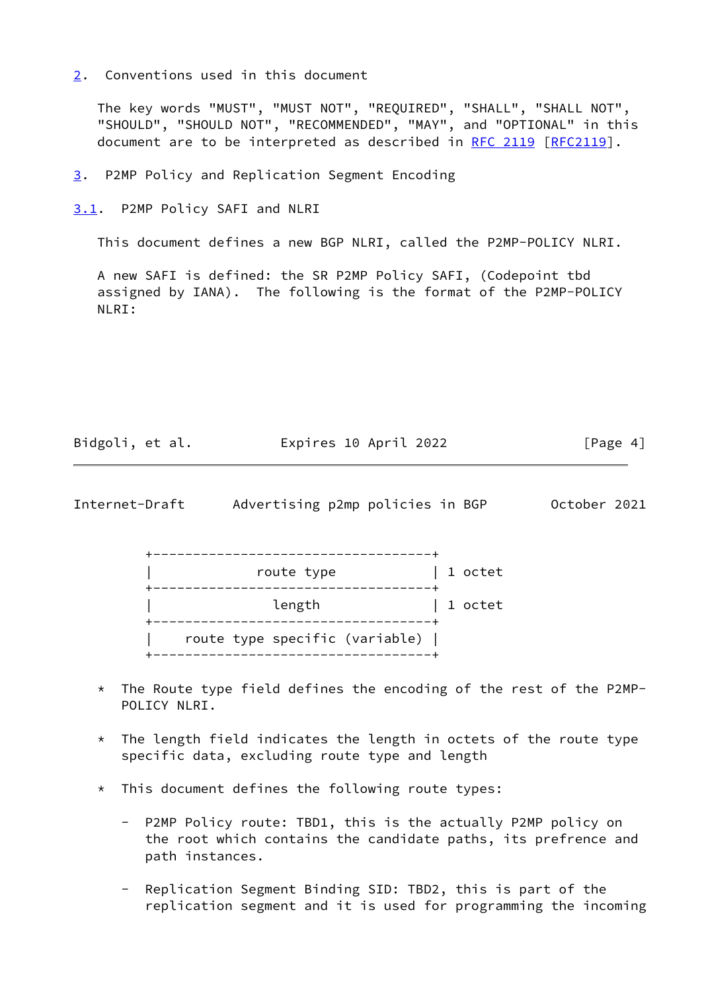<span id="page-4-0"></span>[2](#page-4-0). Conventions used in this document

 The key words "MUST", "MUST NOT", "REQUIRED", "SHALL", "SHALL NOT", "SHOULD", "SHOULD NOT", "RECOMMENDED", "MAY", and "OPTIONAL" in this document are to be interpreted as described in [RFC 2119 \[RFC2119](https://datatracker.ietf.org/doc/pdf/rfc2119)].

<span id="page-4-1"></span>[3](#page-4-1). P2MP Policy and Replication Segment Encoding

<span id="page-4-2"></span>[3.1](#page-4-2). P2MP Policy SAFI and NLRI

This document defines a new BGP NLRI, called the P2MP-POLICY NLRI.

 A new SAFI is defined: the SR P2MP Policy SAFI, (Codepoint tbd assigned by IANA). The following is the format of the P2MP-POLICY NLRI:

| Bidgoli, et al. | Expires 10 April 2022 | [Page 4] |
|-----------------|-----------------------|----------|
|-----------------|-----------------------|----------|

<span id="page-4-3"></span>Internet-Draft Advertising p2mp policies in BGP October 2021

 +-----------------------------------+ | route type | 1 octet +-----------------------------------+ | length | 1 octet +-----------------------------------+ | route type specific (variable) | +-----------------------------------+

- \* The Route type field defines the encoding of the rest of the P2MP- POLICY NLRI.
- $*$  The length field indicates the length in octets of the route type specific data, excluding route type and length
- \* This document defines the following route types:
	- P2MP Policy route: TBD1, this is the actually P2MP policy on the root which contains the candidate paths, its prefrence and path instances.
	- Replication Segment Binding SID: TBD2, this is part of the replication segment and it is used for programming the incoming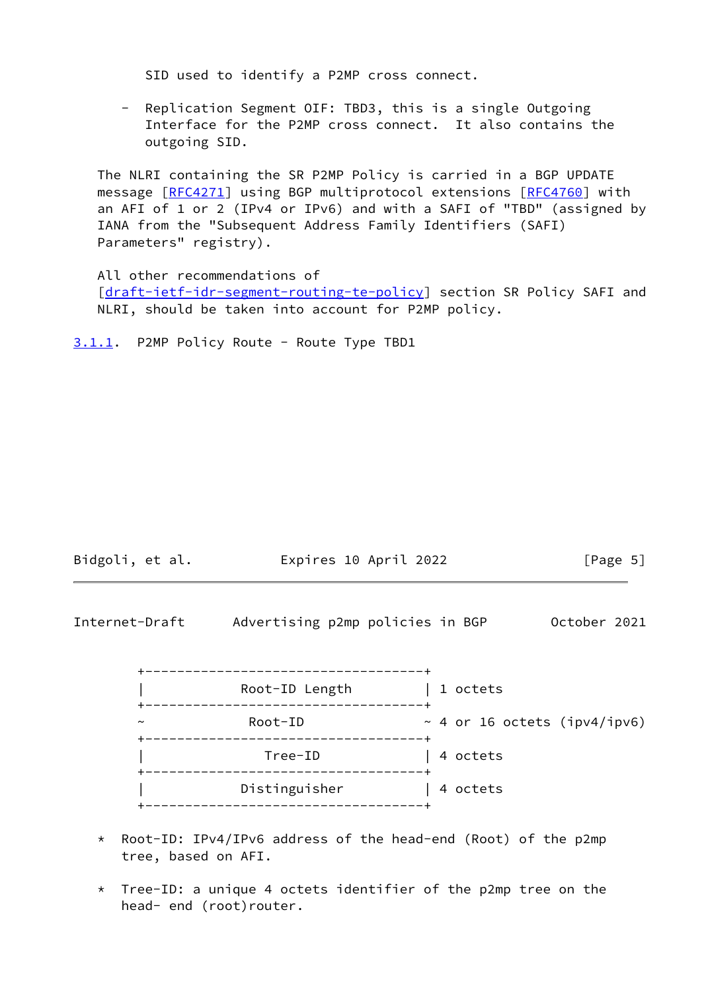SID used to identify a P2MP cross connect.

 - Replication Segment OIF: TBD3, this is a single Outgoing Interface for the P2MP cross connect. It also contains the outgoing SID.

 The NLRI containing the SR P2MP Policy is carried in a BGP UPDATE message [\[RFC4271](https://datatracker.ietf.org/doc/pdf/rfc4271)] using BGP multiprotocol extensions [\[RFC4760](https://datatracker.ietf.org/doc/pdf/rfc4760)] with an AFI of 1 or 2 (IPv4 or IPv6) and with a SAFI of "TBD" (assigned by IANA from the "Subsequent Address Family Identifiers (SAFI) Parameters" registry).

 All other recommendations of [\[draft-ietf-idr-segment-routing-te-policy](https://datatracker.ietf.org/doc/pdf/draft-ietf-idr-segment-routing-te-policy)] section SR Policy SAFI and NLRI, should be taken into account for P2MP policy.

<span id="page-5-0"></span>[3.1.1](#page-5-0). P2MP Policy Route - Route Type TBD1

| Bidgoli, et al. | Expires 10 April 2022 | [Page 5] |
|-----------------|-----------------------|----------|
|                 |                       |          |

<span id="page-5-1"></span>

- \* Root-ID: IPv4/IPv6 address of the head-end (Root) of the p2mp tree, based on AFI.
- \* Tree-ID: a unique 4 octets identifier of the p2mp tree on the head- end (root)router.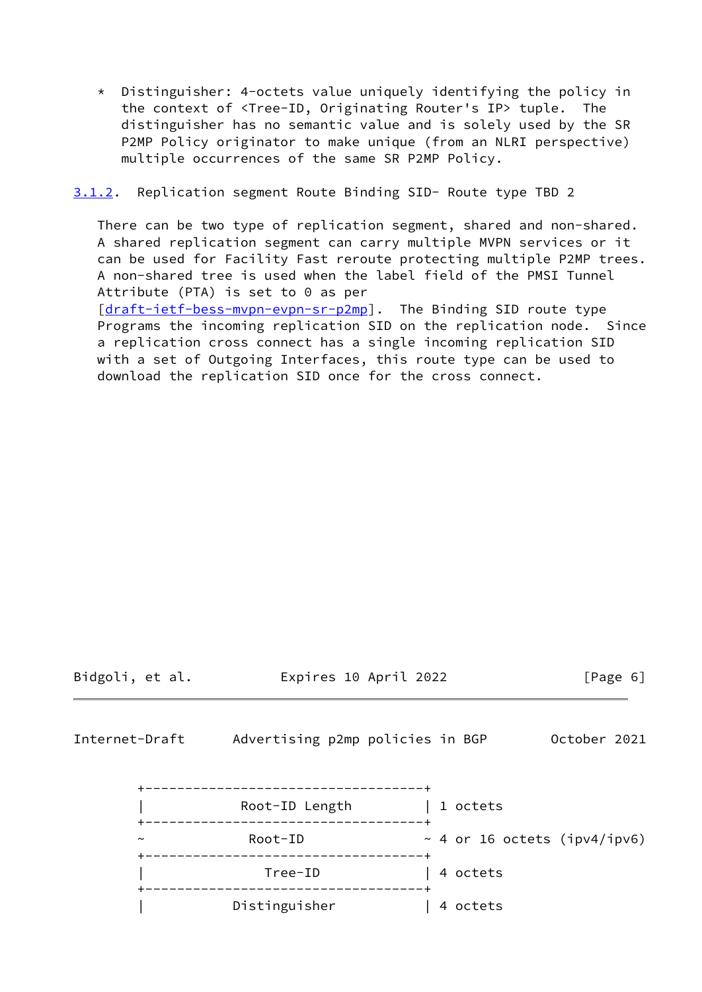\* Distinguisher: 4-octets value uniquely identifying the policy in the context of <Tree-ID, Originating Router's IP> tuple. The distinguisher has no semantic value and is solely used by the SR P2MP Policy originator to make unique (from an NLRI perspective) multiple occurrences of the same SR P2MP Policy.

<span id="page-6-0"></span>[3.1.2](#page-6-0). Replication segment Route Binding SID- Route type TBD 2

 There can be two type of replication segment, shared and non-shared. A shared replication segment can carry multiple MVPN services or it can be used for Facility Fast reroute protecting multiple P2MP trees. A non-shared tree is used when the label field of the PMSI Tunnel Attribute (PTA) is set to 0 as per [\[draft-ietf-bess-mvpn-evpn-sr-p2mp](https://datatracker.ietf.org/doc/pdf/draft-ietf-bess-mvpn-evpn-sr-p2mp)]. The Binding SID route type Programs the incoming replication SID on the replication node. Since a replication cross connect has a single incoming replication SID with a set of Outgoing Interfaces, this route type can be used to download the replication SID once for the cross connect.

Bidgoli, et al. Expires 10 April 2022 [Page 6]

Internet-Draft Advertising p2mp policies in BGP October 2021

|                       | Root-ID Length | 1 octets                         |
|-----------------------|----------------|----------------------------------|
| $\tilde{\phantom{a}}$ | Root-ID        | ~ 4 or 16 octets ( $ipv4/ipv6$ ) |
|                       | Tree-ID        | 4 octets                         |
|                       | Distinguisher  | 4 octets                         |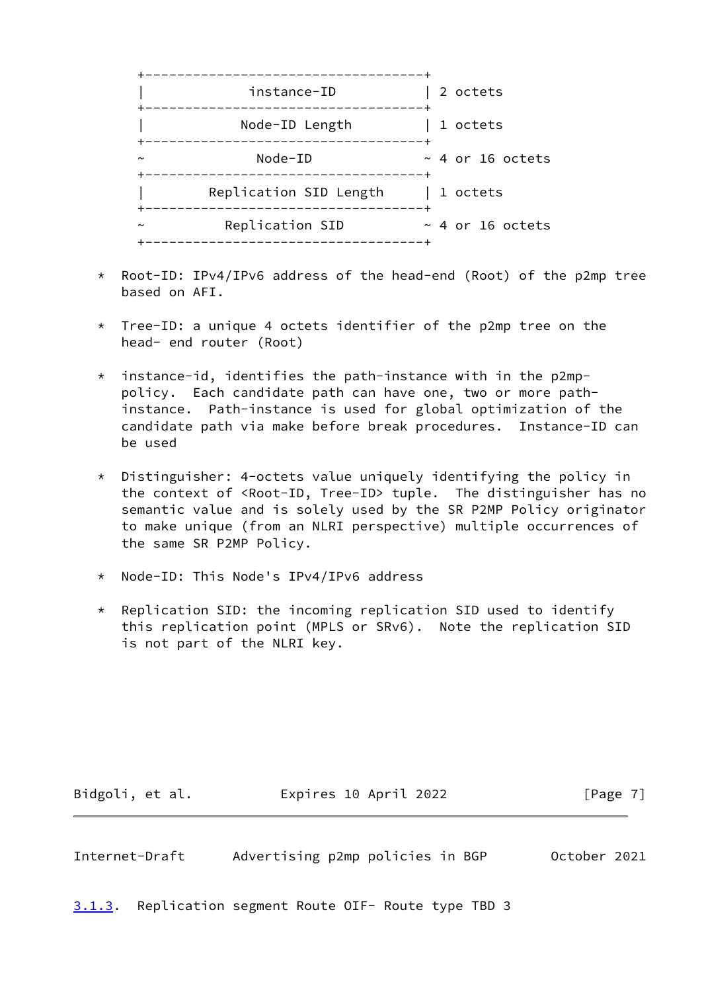

- \* Root-ID: IPv4/IPv6 address of the head-end (Root) of the p2mp tree based on AFI.
- \* Tree-ID: a unique 4 octets identifier of the p2mp tree on the head- end router (Root)
- $*$  instance-id, identifies the path-instance with in the p2mp policy. Each candidate path can have one, two or more path instance. Path-instance is used for global optimization of the candidate path via make before break procedures. Instance-ID can be used
- \* Distinguisher: 4-octets value uniquely identifying the policy in the context of <Root-ID, Tree-ID> tuple. The distinguisher has no semantic value and is solely used by the SR P2MP Policy originator to make unique (from an NLRI perspective) multiple occurrences of the same SR P2MP Policy.
- \* Node-ID: This Node's IPv4/IPv6 address
- \* Replication SID: the incoming replication SID used to identify this replication point (MPLS or SRv6). Note the replication SID is not part of the NLRI key.

Bidgoli, et al. 
Expires 10 April 2022
[Page 7]

<span id="page-7-1"></span>Internet-Draft Advertising p2mp policies in BGP October 2021

<span id="page-7-0"></span>[3.1.3](#page-7-0). Replication segment Route OIF- Route type TBD 3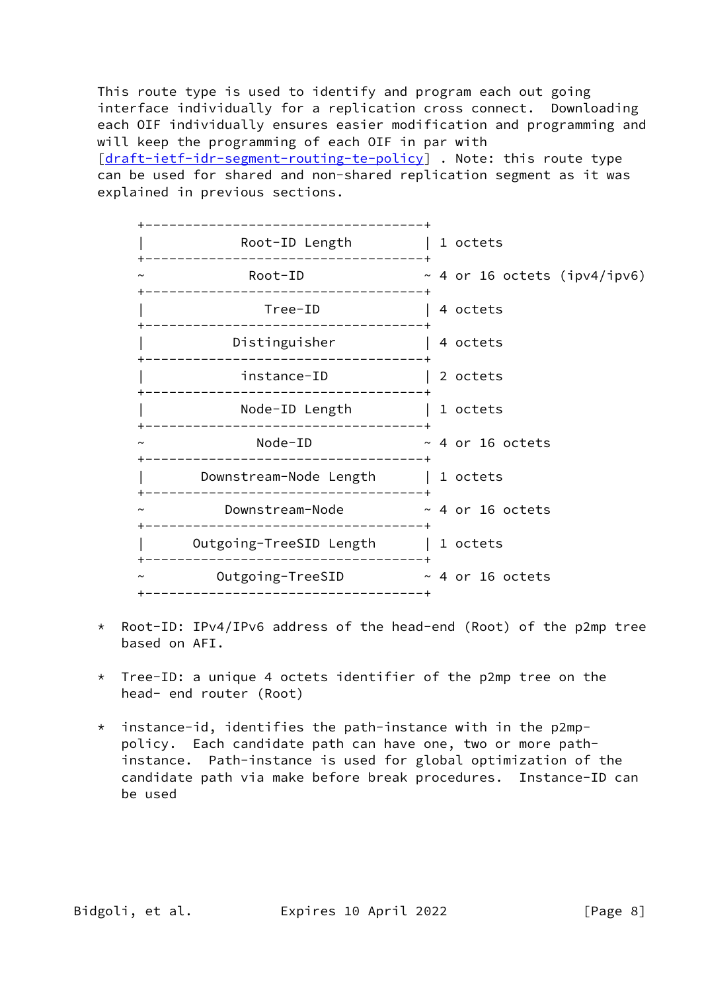This route type is used to identify and program each out going interface individually for a replication cross connect. Downloading each OIF individually ensures easier modification and programming and will keep the programming of each OIF in par with [\[draft-ietf-idr-segment-routing-te-policy](https://datatracker.ietf.org/doc/pdf/draft-ietf-idr-segment-routing-te-policy)] . Note: this route type can be used for shared and non-shared replication segment as it was explained in previous sections.



- \* Root-ID: IPv4/IPv6 address of the head-end (Root) of the p2mp tree based on AFI.
- Tree-ID: a unique 4 octets identifier of the p2mp tree on the head- end router (Root)
- \* instance-id, identifies the path-instance with in the p2mp policy. Each candidate path can have one, two or more path instance. Path-instance is used for global optimization of the candidate path via make before break procedures. Instance-ID can be used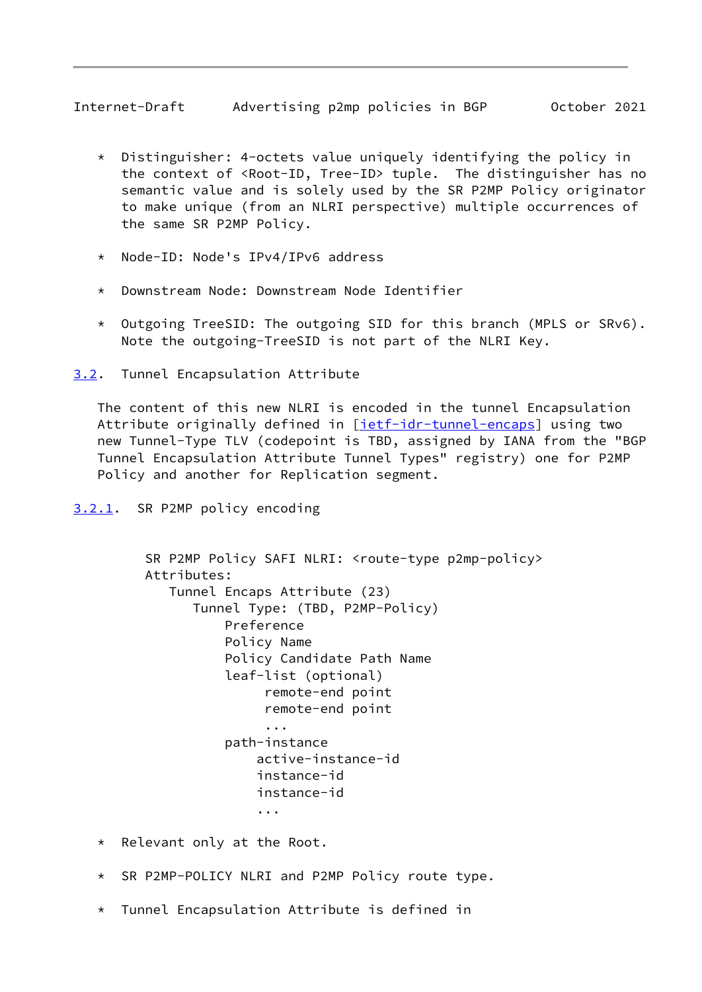- <span id="page-9-1"></span> \* Distinguisher: 4-octets value uniquely identifying the policy in the context of <Root-ID, Tree-ID> tuple. The distinguisher has no semantic value and is solely used by the SR P2MP Policy originator to make unique (from an NLRI perspective) multiple occurrences of the same SR P2MP Policy.
- Node-ID: Node's IPv4/IPv6 address
- \* Downstream Node: Downstream Node Identifier
- \* Outgoing TreeSID: The outgoing SID for this branch (MPLS or SRv6). Note the outgoing-TreeSID is not part of the NLRI Key.
- <span id="page-9-0"></span>[3.2](#page-9-0). Tunnel Encapsulation Attribute

 The content of this new NLRI is encoded in the tunnel Encapsulation Attribute originally defined in [\[ietf-idr-tunnel-encaps](#page-19-4)] using two new Tunnel-Type TLV (codepoint is TBD, assigned by IANA from the "BGP Tunnel Encapsulation Attribute Tunnel Types" registry) one for P2MP Policy and another for Replication segment.

<span id="page-9-2"></span>[3.2.1](#page-9-2). SR P2MP policy encoding

```
 SR P2MP Policy SAFI NLRI: <route-type p2mp-policy>
         Attributes:
            Tunnel Encaps Attribute (23)
              Tunnel Type: (TBD, P2MP-Policy)
                  Preference
                  Policy Name
                  Policy Candidate Path Name
                  leaf-list (optional)
                       remote-end point
                       remote-end point
 ...
                  path-instance
                      active-instance-id
                      instance-id
                      instance-id
 ...
```
\* Relevant only at the Root.

- \* SR P2MP-POLICY NLRI and P2MP Policy route type.
- \* Tunnel Encapsulation Attribute is defined in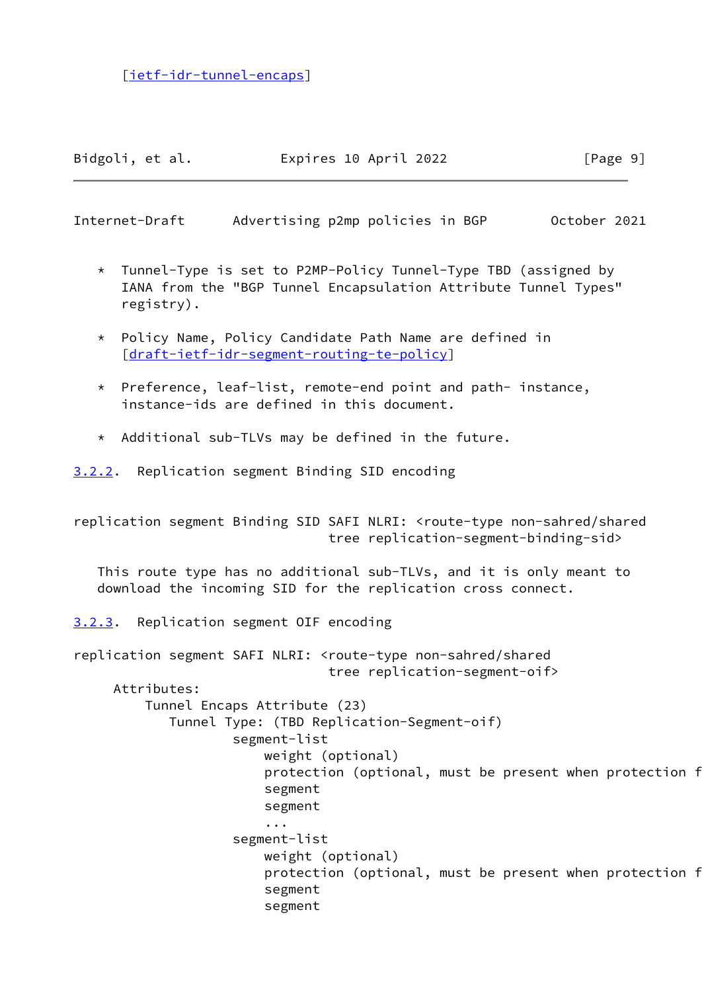[[ietf-idr-tunnel-encaps](#page-19-4)]

Bidgoli, et al. 
Expires 10 April 2022
[Page 9]

<span id="page-10-1"></span>Internet-Draft Advertising p2mp policies in BGP October 2021

- \* Tunnel-Type is set to P2MP-Policy Tunnel-Type TBD (assigned by IANA from the "BGP Tunnel Encapsulation Attribute Tunnel Types" registry).
- \* Policy Name, Policy Candidate Path Name are defined in [[draft-ietf-idr-segment-routing-te-policy\]](https://datatracker.ietf.org/doc/pdf/draft-ietf-idr-segment-routing-te-policy)
- \* Preference, leaf-list, remote-end point and path- instance, instance-ids are defined in this document.
- \* Additional sub-TLVs may be defined in the future.

<span id="page-10-0"></span>[3.2.2](#page-10-0). Replication segment Binding SID encoding

replication segment Binding SID SAFI NLRI: <route-type non-sahred/shared tree replication-segment-binding-sid>

 This route type has no additional sub-TLVs, and it is only meant to download the incoming SID for the replication cross connect.

<span id="page-10-2"></span>[3.2.3](#page-10-2). Replication segment OIF encoding

replication segment SAFI NLRI: <route-type non-sahred/shared tree replication-segment-oif> Attributes: Tunnel Encaps Attribute (23) Tunnel Type: (TBD Replication-Segment-oif) segment-list weight (optional) protection (optional, must be present when protection f segment segment ... segment-list weight (optional) protection (optional, must be present when protection f segment segment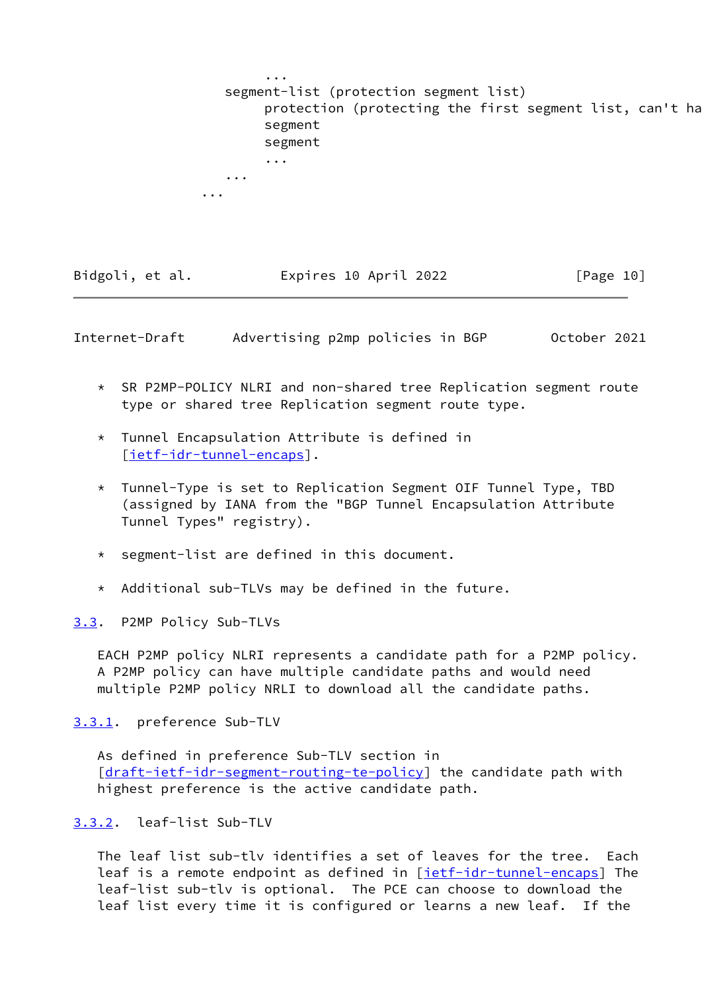|          | $\cdots$<br>segment-list (protection segment list)<br>protection (protecting the first segment list, can't ha<br>segment<br>segment |  |
|----------|-------------------------------------------------------------------------------------------------------------------------------------|--|
|          | $\bullet\hspace{0.1cm}\bullet\hspace{0.1cm}\bullet\hspace{0.1cm}\bullet$                                                            |  |
| $\cdots$ |                                                                                                                                     |  |
| $\cdots$ |                                                                                                                                     |  |

| Bidgoli, et al. | Expires 10 April 2022 | [Page 10] |
|-----------------|-----------------------|-----------|
|-----------------|-----------------------|-----------|

<span id="page-11-1"></span>Internet-Draft Advertising p2mp policies in BGP October 2021

- \* SR P2MP-POLICY NLRI and non-shared tree Replication segment route type or shared tree Replication segment route type.
- \* Tunnel Encapsulation Attribute is defined in [[ietf-idr-tunnel-encaps](#page-19-4)].
- \* Tunnel-Type is set to Replication Segment OIF Tunnel Type, TBD (assigned by IANA from the "BGP Tunnel Encapsulation Attribute Tunnel Types" registry).
- \* segment-list are defined in this document.
- \* Additional sub-TLVs may be defined in the future.

<span id="page-11-0"></span>[3.3](#page-11-0). P2MP Policy Sub-TLVs

 EACH P2MP policy NLRI represents a candidate path for a P2MP policy. A P2MP policy can have multiple candidate paths and would need multiple P2MP policy NRLI to download all the candidate paths.

<span id="page-11-2"></span>[3.3.1](#page-11-2). preference Sub-TLV

 As defined in preference Sub-TLV section in [\[draft-ietf-idr-segment-routing-te-policy](https://datatracker.ietf.org/doc/pdf/draft-ietf-idr-segment-routing-te-policy)] the candidate path with highest preference is the active candidate path.

<span id="page-11-3"></span>[3.3.2](#page-11-3). leaf-list Sub-TLV

 The leaf list sub-tlv identifies a set of leaves for the tree. Each leaf is a remote endpoint as defined in [\[ietf-idr-tunnel-encaps](#page-19-4)] The leaf-list sub-tlv is optional. The PCE can choose to download the leaf list every time it is configured or learns a new leaf. If the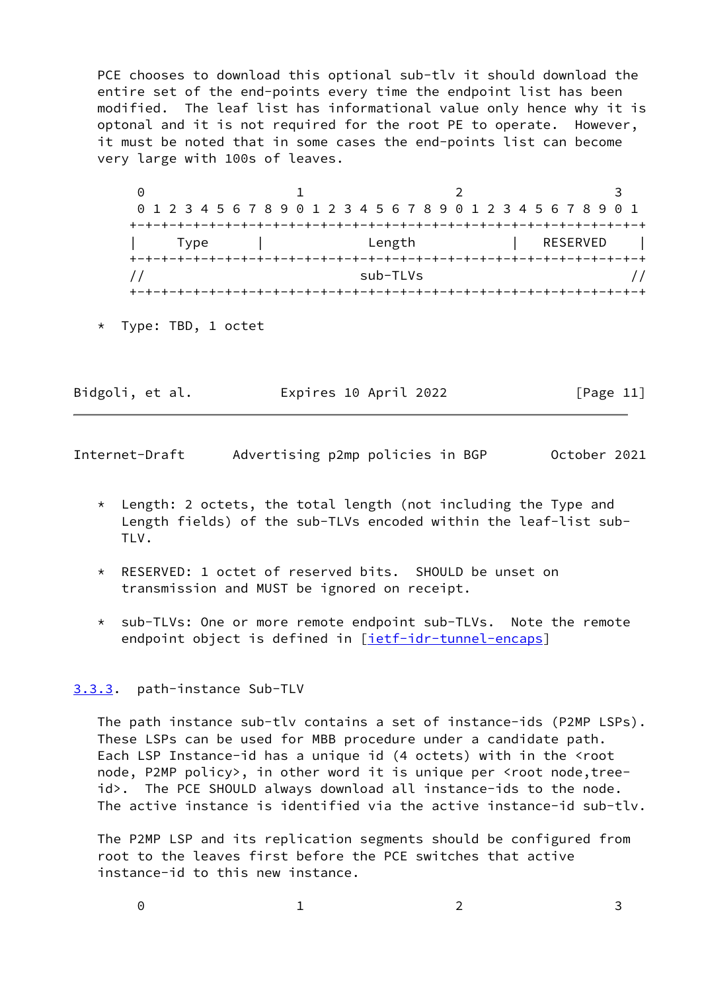PCE chooses to download this optional sub-tlv it should download the entire set of the end-points every time the endpoint list has been modified. The leaf list has informational value only hence why it is optonal and it is not required for the root PE to operate. However, it must be noted that in some cases the end-points list can become very large with 100s of leaves.

 $0$  1 2 3 0 1 2 3 4 5 6 7 8 9 0 1 2 3 4 5 6 7 8 9 0 1 2 3 4 5 6 7 8 9 0 1 +-+-+-+-+-+-+-+-+-+-+-+-+-+-+-+-+-+-+-+-+-+-+-+-+-+-+-+-+-+-+-+-+ | Type | Length | RESERVED | +-+-+-+-+-+-+-+-+-+-+-+-+-+-+-+-+-+-+-+-+-+-+-+-+-+-+-+-+-+-+-+-+ // sub-TLVs // +-+-+-+-+-+-+-+-+-+-+-+-+-+-+-+-+-+-+-+-+-+-+-+-+-+-+-+-+-+-+-+-+

\* Type: TBD, 1 octet

Bidgoli, et al. 
Expires 10 April 2022
[Page 11]

<span id="page-12-1"></span>Internet-Draft Advertising p2mp policies in BGP October 2021

- $*$  Length: 2 octets, the total length (not including the Type and Length fields) of the sub-TLVs encoded within the leaf-list sub- TLV.
- RESERVED: 1 octet of reserved bits. SHOULD be unset on transmission and MUST be ignored on receipt.
- \* sub-TLVs: One or more remote endpoint sub-TLVs. Note the remote endpoint object is defined in [\[ietf-idr-tunnel-encaps](#page-19-4)]

# <span id="page-12-0"></span>[3.3.3](#page-12-0). path-instance Sub-TLV

 The path instance sub-tlv contains a set of instance-ids (P2MP LSPs). These LSPs can be used for MBB procedure under a candidate path. Each LSP Instance-id has a unique id (4 octets) with in the <root node, P2MP policy>, in other word it is unique per <root node,tree id>. The PCE SHOULD always download all instance-ids to the node. The active instance is identified via the active instance-id sub-tlv.

 The P2MP LSP and its replication segments should be configured from root to the leaves first before the PCE switches that active instance-id to this new instance.

|  | $\overline{\phantom{a}}$ |
|--|--------------------------|
|  |                          |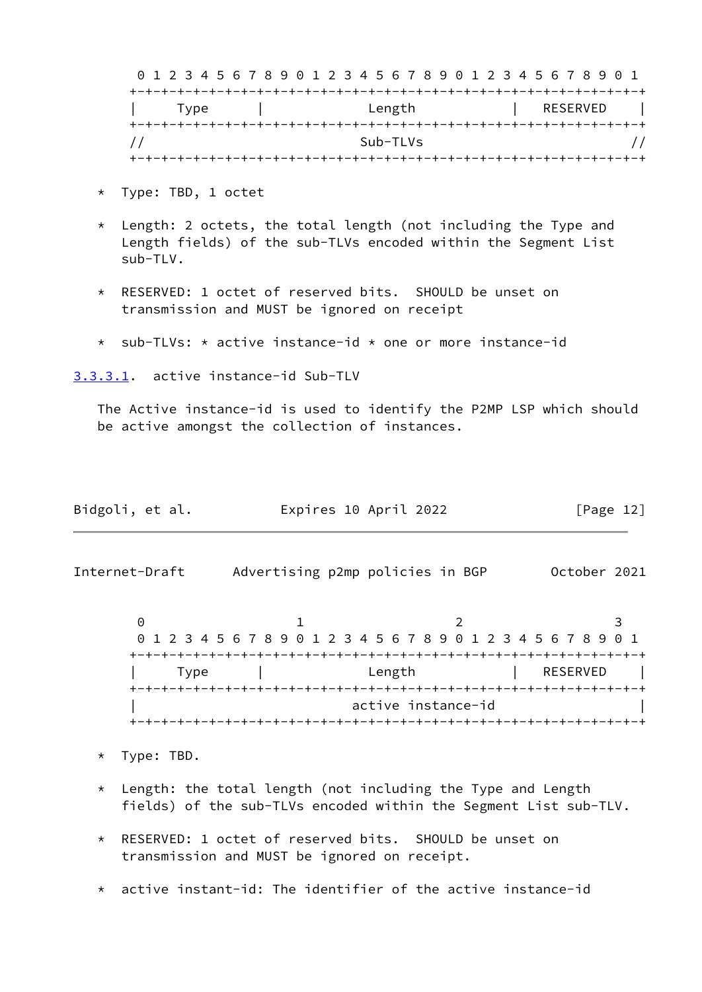|      | 0 1 2 3 4 5 6 7 8 9 0 1 2 3 4 5 6 7 8 9 0 1 2 3 4 5 6 7 8 9 0 1 |            |  |          |  |
|------|-----------------------------------------------------------------|------------|--|----------|--|
|      |                                                                 |            |  |          |  |
| Type |                                                                 | Length     |  | RESERVED |  |
|      |                                                                 |            |  |          |  |
|      |                                                                 | $Sub-TLVs$ |  |          |  |
|      |                                                                 |            |  |          |  |

- \* Type: TBD, 1 octet
- \* Length: 2 octets, the total length (not including the Type and Length fields) of the sub-TLVs encoded within the Segment List sub-TLV.
- \* RESERVED: 1 octet of reserved bits. SHOULD be unset on transmission and MUST be ignored on receipt
- \* sub-TLVs: \* active instance-id \* one or more instance-id

<span id="page-13-0"></span>[3.3.3.1](#page-13-0). active instance-id Sub-TLV

 The Active instance-id is used to identify the P2MP LSP which should be active amongst the collection of instances.

| Bidgoli, et al. | Expires 10 April 2022 | [Page 12] |
|-----------------|-----------------------|-----------|
|-----------------|-----------------------|-----------|

<span id="page-13-1"></span>Internet-Draft Advertising p2mp policies in BGP October 2021

 $0$  1 2 3 0 1 2 3 4 5 6 7 8 9 0 1 2 3 4 5 6 7 8 9 0 1 2 3 4 5 6 7 8 9 0 1 +-+-+-+-+-+-+-+-+-+-+-+-+-+-+-+-+-+-+-+-+-+-+-+-+-+-+-+-+-+-+-+-+ Type | Length | RESERVED | +-+-+-+-+-+-+-+-+-+-+-+-+-+-+-+-+-+-+-+-+-+-+-+-+-+-+-+-+-+-+-+-+ active instance-id +-+-+-+-+-+-+-+-+-+-+-+-+-+-+-+-+-+-+-+-+-+-+-+-+-+-+-+-+-+-+-+-+

- \* Type: TBD.
- \* Length: the total length (not including the Type and Length fields) of the sub-TLVs encoded within the Segment List sub-TLV.
- \* RESERVED: 1 octet of reserved bits. SHOULD be unset on transmission and MUST be ignored on receipt.
- active instant-id: The identifier of the active instance-id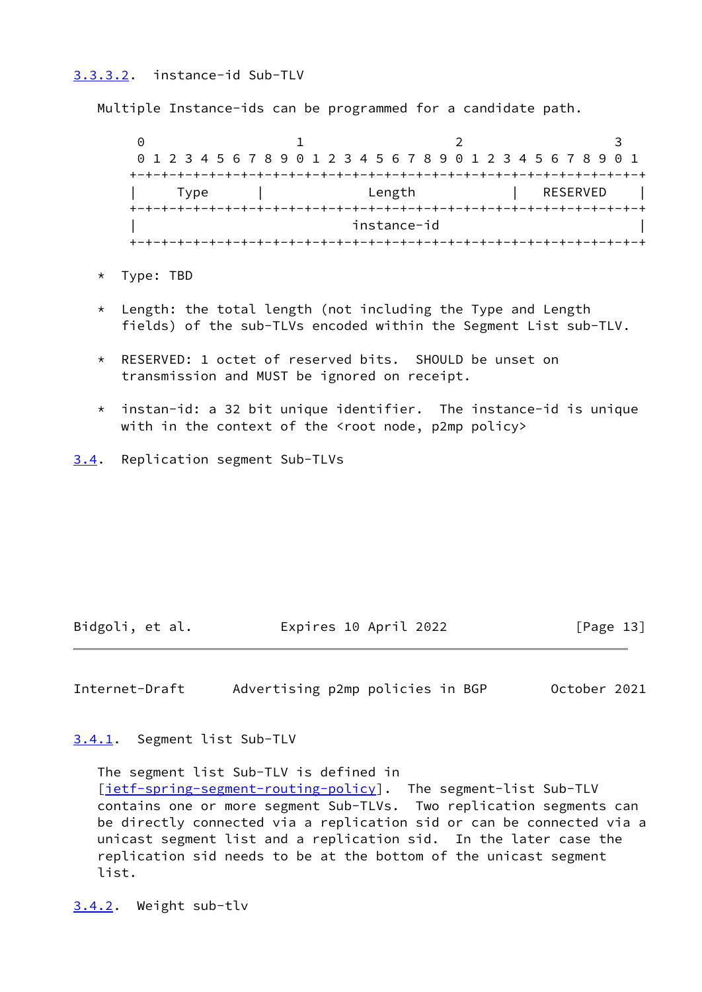# <span id="page-14-0"></span>[3.3.3.2](#page-14-0). instance-id Sub-TLV

Multiple Instance-ids can be programmed for a candidate path.

 $0$  1 2 3 0 1 2 3 4 5 6 7 8 9 0 1 2 3 4 5 6 7 8 9 0 1 2 3 4 5 6 7 8 9 0 1 +-+-+-+-+-+-+-+-+-+-+-+-+-+-+-+-+-+-+-+-+-+-+-+-+-+-+-+-+-+-+-+-+ | Type | Length | RESERVED | +-+-+-+-+-+-+-+-+-+-+-+-+-+-+-+-+-+-+-+-+-+-+-+-+-+-+-+-+-+-+-+-+ instance-id +-+-+-+-+-+-+-+-+-+-+-+-+-+-+-+-+-+-+-+-+-+-+-+-+-+-+-+-+-+-+-+-+

- \* Type: TBD
- \* Length: the total length (not including the Type and Length fields) of the sub-TLVs encoded within the Segment List sub-TLV.
- \* RESERVED: 1 octet of reserved bits. SHOULD be unset on transmission and MUST be ignored on receipt.
- $*$  instan-id: a 32 bit unique identifier. The instance-id is unique with in the context of the <root node, p2mp policy>
- <span id="page-14-1"></span>[3.4](#page-14-1). Replication segment Sub-TLVs

Bidgoli, et al. Expires 10 April 2022 [Page 13]

<span id="page-14-3"></span>Internet-Draft Advertising p2mp policies in BGP October 2021

<span id="page-14-2"></span>[3.4.1](#page-14-2). Segment list Sub-TLV

 The segment list Sub-TLV is defined in [\[ietf-spring-segment-routing-policy\]](#page-19-5). The segment-list Sub-TLV contains one or more segment Sub-TLVs. Two replication segments can be directly connected via a replication sid or can be connected via a unicast segment list and a replication sid. In the later case the replication sid needs to be at the bottom of the unicast segment list.

<span id="page-14-4"></span>[3.4.2](#page-14-4). Weight sub-tlv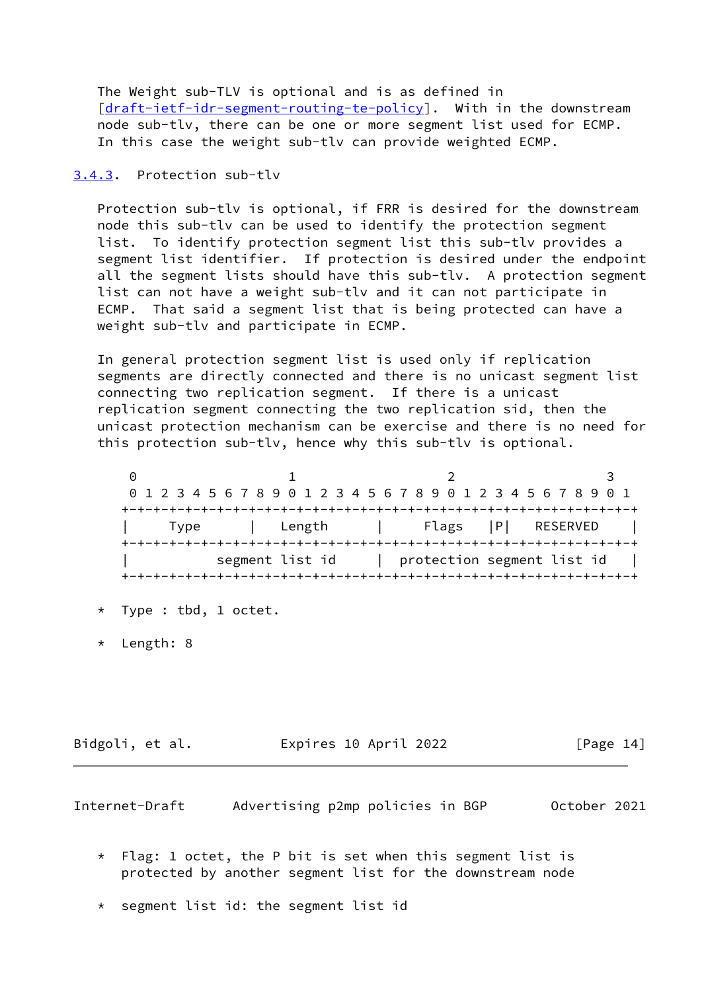The Weight sub-TLV is optional and is as defined in [\[draft-ietf-idr-segment-routing-te-policy](https://datatracker.ietf.org/doc/pdf/draft-ietf-idr-segment-routing-te-policy)]. With in the downstream node sub-tlv, there can be one or more segment list used for ECMP. In this case the weight sub-tlv can provide weighted ECMP.

#### <span id="page-15-0"></span>[3.4.3](#page-15-0). Protection sub-tlv

 Protection sub-tlv is optional, if FRR is desired for the downstream node this sub-tlv can be used to identify the protection segment list. To identify protection segment list this sub-tlv provides a segment list identifier. If protection is desired under the endpoint all the segment lists should have this sub-tlv. A protection segment list can not have a weight sub-tlv and it can not participate in ECMP. That said a segment list that is being protected can have a weight sub-tlv and participate in ECMP.

 In general protection segment list is used only if replication segments are directly connected and there is no unicast segment list connecting two replication segment. If there is a unicast replication segment connecting the two replication sid, then the unicast protection mechanism can be exercise and there is no need for this protection sub-tlv, hence why this sub-tlv is optional.

0 1 2 3 0 1 2 3 4 5 6 7 8 9 0 1 2 3 4 5 6 7 8 9 0 1 2 3 4 5 6 7 8 9 0 1 +-+-+-+-+-+-+-+-+-+-+-+-+-+-+-+-+-+-+-+-+-+-+-+-+-+-+-+-+-+-+-+-+ | Type | Length | Flags |P| RESERVED | +-+-+-+-+-+-+-+-+-+-+-+-+-+-+-+-+-+-+-+-+-+-+-+-+-+-+-+-+-+-+-+-+ | segment list id | protection segment list id | +-+-+-+-+-+-+-+-+-+-+-+-+-+-+-+-+-+-+-+-+-+-+-+-+-+-+-+-+-+-+-+-+

- \* Type : tbd, 1 octet.
- \* Length: 8

Bidgoli, et al. Expires 10 April 2022 [Page 14]

<span id="page-15-1"></span>Internet-Draft Advertising p2mp policies in BGP October 2021

- $*$  Flag: 1 octet, the P bit is set when this segment list is protected by another segment list for the downstream node
- \* segment list id: the segment list id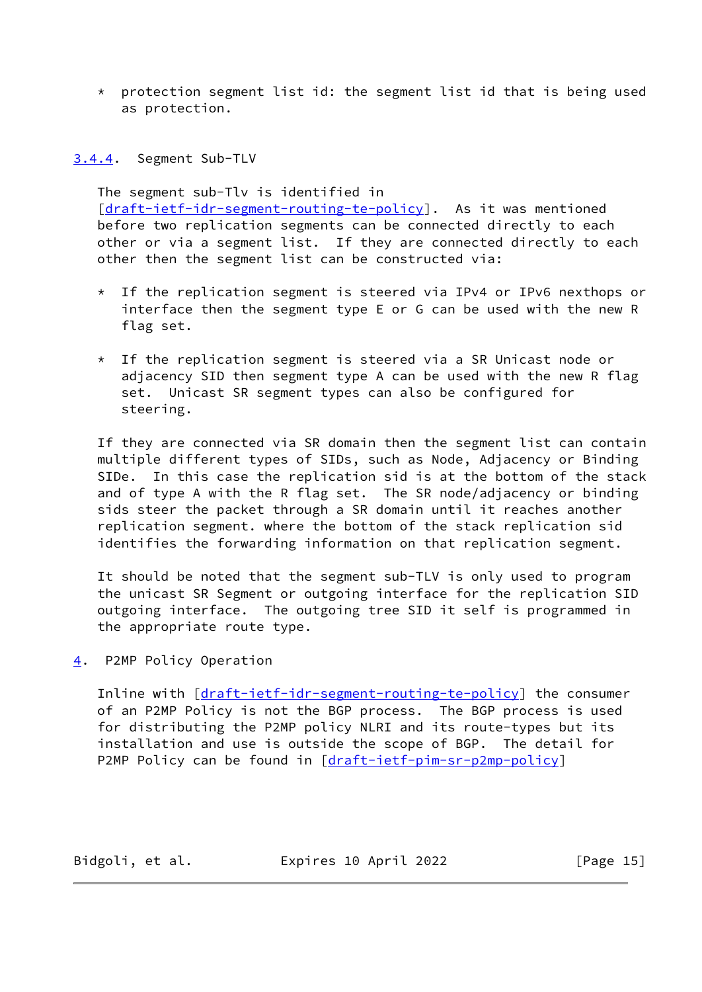\* protection segment list id: the segment list id that is being used as protection.

<span id="page-16-0"></span>[3.4.4](#page-16-0). Segment Sub-TLV

 The segment sub-Tlv is identified in [\[draft-ietf-idr-segment-routing-te-policy](https://datatracker.ietf.org/doc/pdf/draft-ietf-idr-segment-routing-te-policy)]. As it was mentioned before two replication segments can be connected directly to each other or via a segment list. If they are connected directly to each other then the segment list can be constructed via:

- \* If the replication segment is steered via IPv4 or IPv6 nexthops or interface then the segment type E or G can be used with the new R flag set.
- \* If the replication segment is steered via a SR Unicast node or adjacency SID then segment type A can be used with the new R flag set. Unicast SR segment types can also be configured for steering.

If they are connected via SR domain then the segment list can contain multiple different types of SIDs, such as Node, Adjacency or Binding SIDe. In this case the replication sid is at the bottom of the stack and of type A with the R flag set. The SR node/adjacency or binding sids steer the packet through a SR domain until it reaches another replication segment. where the bottom of the stack replication sid identifies the forwarding information on that replication segment.

 It should be noted that the segment sub-TLV is only used to program the unicast SR Segment or outgoing interface for the replication SID outgoing interface. The outgoing tree SID it self is programmed in the appropriate route type.

<span id="page-16-1"></span>[4](#page-16-1). P2MP Policy Operation

Inline with [\[draft-ietf-idr-segment-routing-te-policy](https://datatracker.ietf.org/doc/pdf/draft-ietf-idr-segment-routing-te-policy)] the consumer of an P2MP Policy is not the BGP process. The BGP process is used for distributing the P2MP policy NLRI and its route-types but its installation and use is outside the scope of BGP. The detail for P2MP Policy can be found in [\[draft-ietf-pim-sr-p2mp-policy](https://datatracker.ietf.org/doc/pdf/draft-ietf-pim-sr-p2mp-policy)]

Bidgoli, et al. 
Expires 10 April 2022
[Page 15]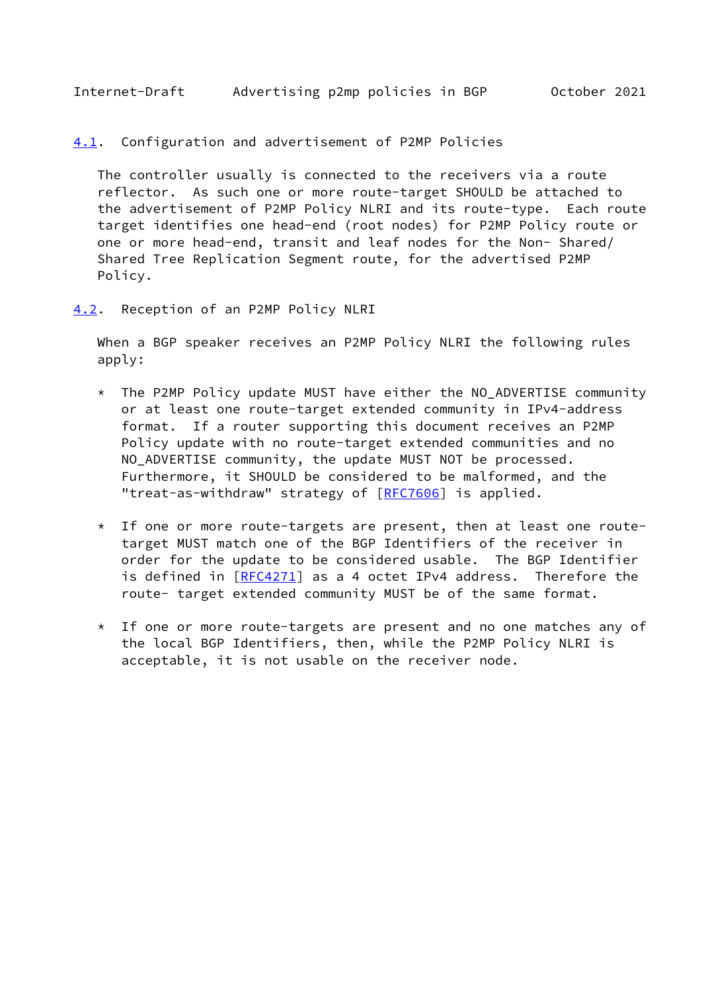<span id="page-17-1"></span>Internet-Draft Advertising p2mp policies in BGP October 2021

<span id="page-17-0"></span>[4.1](#page-17-0). Configuration and advertisement of P2MP Policies

 The controller usually is connected to the receivers via a route reflector. As such one or more route-target SHOULD be attached to the advertisement of P2MP Policy NLRI and its route-type. Each route target identifies one head-end (root nodes) for P2MP Policy route or one or more head-end, transit and leaf nodes for the Non- Shared/ Shared Tree Replication Segment route, for the advertised P2MP Policy.

<span id="page-17-2"></span>[4.2](#page-17-2). Reception of an P2MP Policy NLRI

 When a BGP speaker receives an P2MP Policy NLRI the following rules apply:

- $*$  The P2MP Policy update MUST have either the NO ADVERTISE community or at least one route-target extended community in IPv4-address format. If a router supporting this document receives an P2MP Policy update with no route-target extended communities and no NO\_ADVERTISE community, the update MUST NOT be processed. Furthermore, it SHOULD be considered to be malformed, and the "treat-as-withdraw" strategy of [[RFC7606\]](https://datatracker.ietf.org/doc/pdf/rfc7606) is applied.
- \* If one or more route-targets are present, then at least one route target MUST match one of the BGP Identifiers of the receiver in order for the update to be considered usable. The BGP Identifier is defined in [\[RFC4271](https://datatracker.ietf.org/doc/pdf/rfc4271)] as a 4 octet IPv4 address. Therefore the route- target extended community MUST be of the same format.
- \* If one or more route-targets are present and no one matches any of the local BGP Identifiers, then, while the P2MP Policy NLRI is acceptable, it is not usable on the receiver node.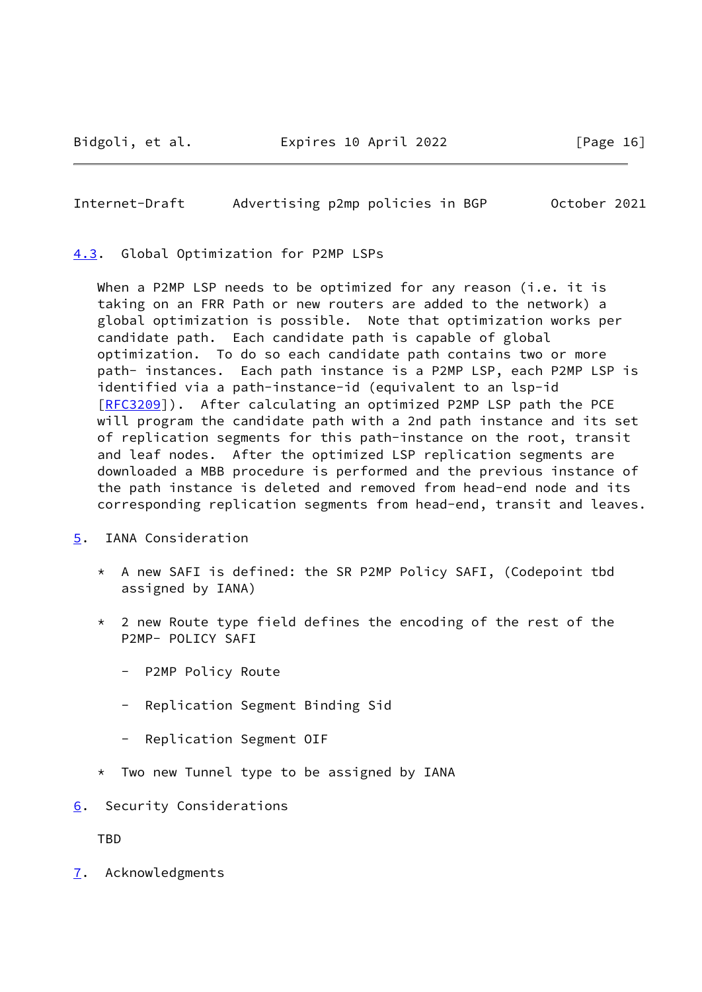<span id="page-18-1"></span>Internet-Draft Advertising p2mp policies in BGP October 2021

<span id="page-18-0"></span>[4.3](#page-18-0). Global Optimization for P2MP LSPs

When a P2MP LSP needs to be optimized for any reason (i.e. it is taking on an FRR Path or new routers are added to the network) a global optimization is possible. Note that optimization works per candidate path. Each candidate path is capable of global optimization. To do so each candidate path contains two or more path- instances. Each path instance is a P2MP LSP, each P2MP LSP is identified via a path-instance-id (equivalent to an lsp-id [\[RFC3209](https://datatracker.ietf.org/doc/pdf/rfc3209)]). After calculating an optimized P2MP LSP path the PCE will program the candidate path with a 2nd path instance and its set of replication segments for this path-instance on the root, transit and leaf nodes. After the optimized LSP replication segments are downloaded a MBB procedure is performed and the previous instance of the path instance is deleted and removed from head-end node and its corresponding replication segments from head-end, transit and leaves.

- <span id="page-18-2"></span>[5](#page-18-2). IANA Consideration
	- \* A new SAFI is defined: the SR P2MP Policy SAFI, (Codepoint tbd assigned by IANA)
	- $*$  2 new Route type field defines the encoding of the rest of the P2MP- POLICY SAFI
		- P2MP Policy Route
		- Replication Segment Binding Sid
		- Replication Segment OIF
	- \* Two new Tunnel type to be assigned by IANA
- <span id="page-18-3"></span>[6](#page-18-3). Security Considerations

TBD

<span id="page-18-4"></span>[7](#page-18-4). Acknowledgments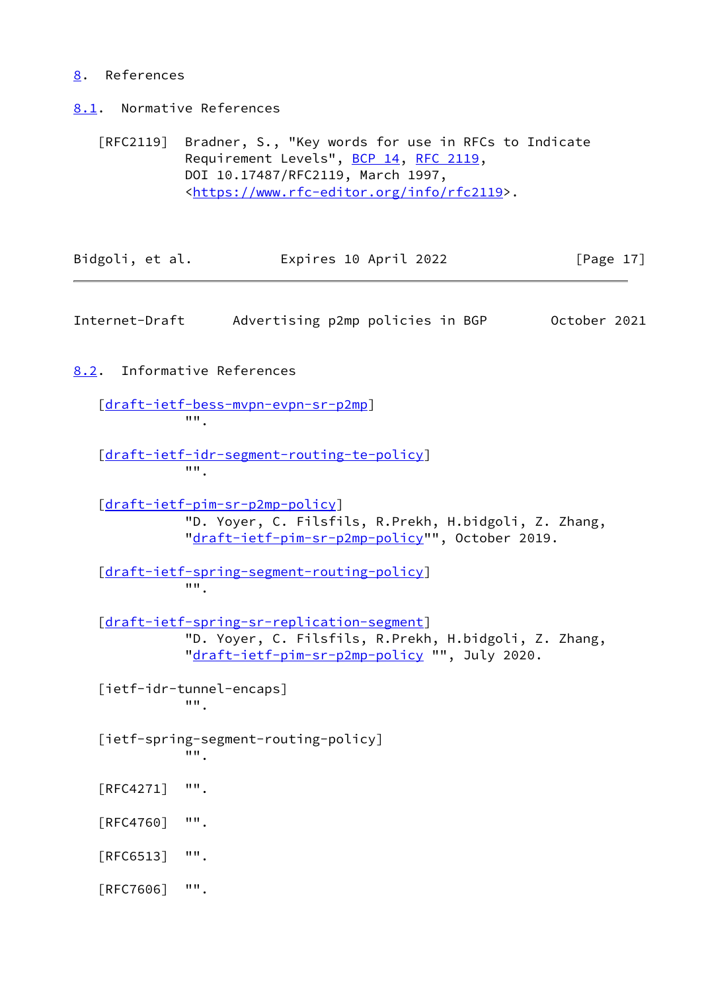### <span id="page-19-0"></span>[8](#page-19-0). References

<span id="page-19-1"></span>[8.1](#page-19-1). Normative References

 [RFC2119] Bradner, S., "Key words for use in RFCs to Indicate Requirement Levels", [BCP 14](https://datatracker.ietf.org/doc/pdf/bcp14), [RFC 2119](https://datatracker.ietf.org/doc/pdf/rfc2119), DOI 10.17487/RFC2119, March 1997, <[https://www.rfc-editor.org/info/rfc2119>](https://www.rfc-editor.org/info/rfc2119).

| Bidgoli, et al. | Expires 10 April 2022 | [Page 17] |
|-----------------|-----------------------|-----------|
|                 |                       |           |

<span id="page-19-3"></span>Internet-Draft Advertising p2mp policies in BGP October 2021

<span id="page-19-2"></span>[8.2](#page-19-2). Informative References

 [\[draft-ietf-bess-mvpn-evpn-sr-p2mp](https://datatracker.ietf.org/doc/pdf/draft-ietf-bess-mvpn-evpn-sr-p2mp)]  $\overline{'''}$ .

 [\[draft-ietf-idr-segment-routing-te-policy](https://datatracker.ietf.org/doc/pdf/draft-ietf-idr-segment-routing-te-policy)] "".

 [\[draft-ietf-pim-sr-p2mp-policy](https://datatracker.ietf.org/doc/pdf/draft-ietf-pim-sr-p2mp-policy)] "D. Yoyer, C. Filsfils, R.Prekh, H.bidgoli, Z. Zhang, "[draft-ietf-pim-sr-p2mp-policy"](https://datatracker.ietf.org/doc/pdf/draft-ietf-pim-sr-p2mp-policy)", October 2019.

 [\[draft-ietf-spring-segment-routing-policy](https://datatracker.ietf.org/doc/pdf/draft-ietf-spring-segment-routing-policy)] "".

 [\[draft-ietf-spring-sr-replication-segment](https://datatracker.ietf.org/doc/pdf/draft-ietf-spring-sr-replication-segment)] "D. Yoyer, C. Filsfils, R.Prekh, H.bidgoli, Z. Zhang, "[draft-ietf-pim-sr-p2mp-policy](https://datatracker.ietf.org/doc/pdf/draft-ietf-pim-sr-p2mp-policy) "", July 2020.

<span id="page-19-4"></span> [ietf-idr-tunnel-encaps] "".

<span id="page-19-5"></span> [ietf-spring-segment-routing-policy] "".

- [RFC4271] "".
- [RFC4760] "".
- [RFC6513] "".
- [RFC7606] "".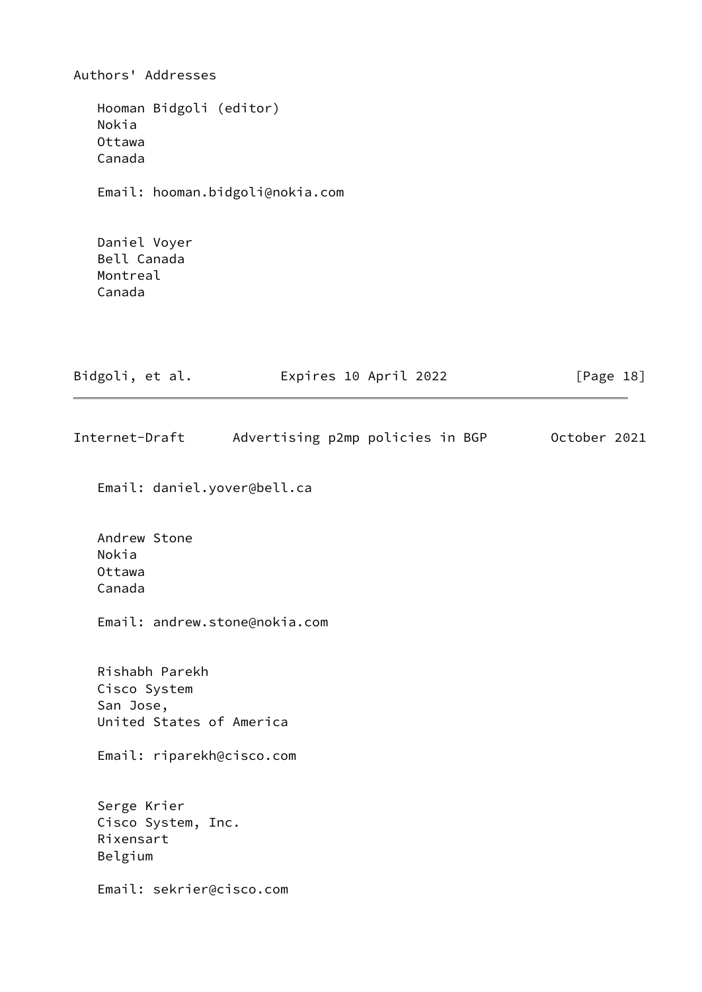Authors' Addresses Hooman Bidgoli (editor) Nokia Ottawa Canada Email: hooman.bidgoli@nokia.com Daniel Voyer Bell Canada Montreal Canada Bidgoli, et al. **Expires 10 April 2022** [Page 18] Internet-Draft Advertising p2mp policies in BGP October 2021 Email: daniel.yover@bell.ca Andrew Stone Nokia Ottawa Canada Email: andrew.stone@nokia.com Rishabh Parekh Cisco System San Jose, United States of America Email: riparekh@cisco.com Serge Krier Cisco System, Inc. Rixensart Belgium Email: sekrier@cisco.com